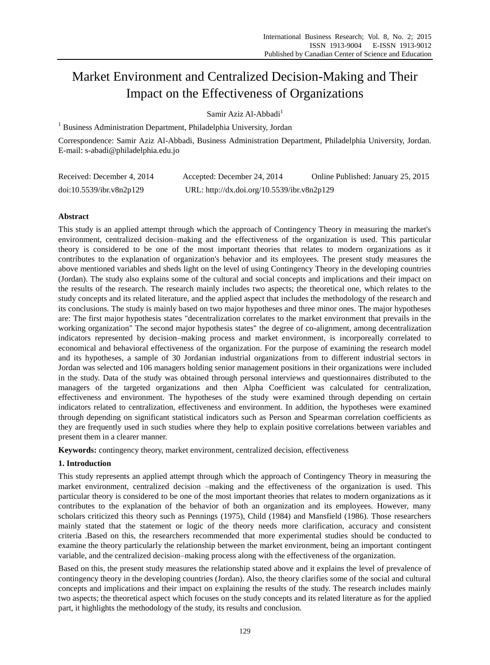# Market Environment and Centralized Decision-Making and Their Impact on the Effectiveness of Organizations

Samir Aziz Al-Abbadi<sup>1</sup>

<sup>1</sup> Business Administration Department, Philadelphia University, Jordan

Correspondence: Samir Aziz Al-Abbadi, Business Administration Department, Philadelphia University, Jordan. E-mail: s-abadi@philadelphia.edu.jo

| Received: December 4, 2014 | Accepted: December 24, 2014                 | Online Published: January 25, 2015 |
|----------------------------|---------------------------------------------|------------------------------------|
| doi:10.5539/ibr.v8n2p129   | URL: http://dx.doi.org/10.5539/ibr.v8n2p129 |                                    |

# **Abstract**

This study is an applied attempt through which the approach of Contingency Theory in measuring the market's environment, centralized decision–making and the effectiveness of the organization is used. This particular theory is considered to be one of the most important theories that relates to modern organizations as it contributes to the explanation of organization's behavior and its employees. The present study measures the above mentioned variables and sheds light on the level of using Contingency Theory in the developing countries (Jordan). The study also explains some of the cultural and social concepts and implications and their impact on the results of the research. The research mainly includes two aspects; the theoretical one, which relates to the study concepts and its related literature, and the applied aspect that includes the methodology of the research and its conclusions. The study is mainly based on two major hypotheses and three minor ones. The major hypotheses are: The first major hypothesis states "decentralization correlates to the market environment that prevails in the working organization" The second major hypothesis states" the degree of co-alignment, among decentralization indicators represented by decision–making process and market environment, is incorporeally correlated to economical and behavioral effectiveness of the organization. For the purpose of examining the research model and its hypotheses, a sample of 30 Jordanian industrial organizations from to different industrial sectors in Jordan was selected and 106 managers holding senior management positions in their organizations were included in the study. Data of the study was obtained through personal interviews and questionnaires distributed to the managers of the targeted organizations and then Alpha Coefficient was calculated for centralization, effectiveness and environment. The hypotheses of the study were examined through depending on certain indicators related to centralization, effectiveness and environment. In addition, the hypotheses were examined through depending on significant statistical indicators such as Person and Spearman correlation coefficients as they are frequently used in such studies where they help to explain positive correlations between variables and present them in a clearer manner.

**Keywords:** contingency theory, market environment, centralized decision, effectiveness

## **1. Introduction**

This study represents an applied attempt through which the approach of Contingency Theory in measuring the market environment, centralized decision –making and the effectiveness of the organization is used. This particular theory is considered to be one of the most important theories that relates to modern organizations as it contributes to the explanation of the behavior of both an organization and its employees. However, many scholars criticized this theory such as Pennings (1975), Child (1984) and Mansfield (1986). Those researchers mainly stated that the statement or logic of the theory needs more clarification, accuracy and consistent criteria .Based on this, the researchers recommended that more experimental studies should be conducted to examine the theory particularly the relationship between the market environment, being an important contingent variable, and the centralized decision–making process along with the effectiveness of the organization.

Based on this, the present study measures the relationship stated above and it explains the level of prevalence of contingency theory in the developing countries (Jordan). Also, the theory clarifies some of the social and cultural concepts and implications and their impact on explaining the results of the study. The research includes mainly two aspects; the theoretical aspect which focuses on the study concepts and its related literature as for the applied part, it highlights the methodology of the study, its results and conclusion.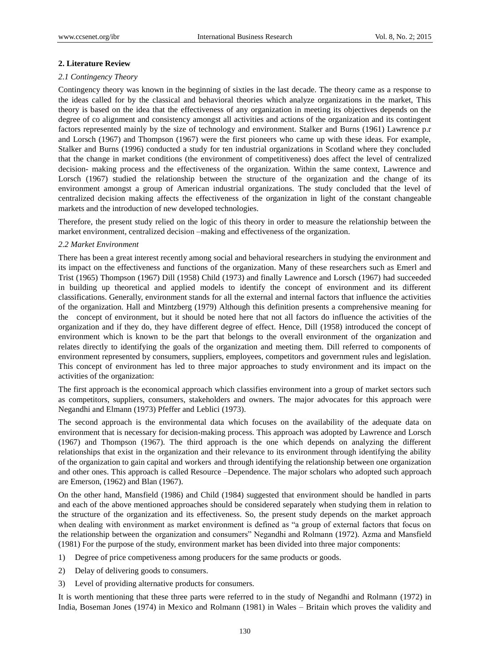### **2. Literature Review**

#### *2.1 Contingency Theory*

Contingency theory was known in the beginning of sixties in the last decade. The theory came as a response to the ideas called for by the classical and behavioral theories which analyze organizations in the market, This theory is based on the idea that the effectiveness of any organization in meeting its objectives depends on the degree of co alignment and consistency amongst all activities and actions of the organization and its contingent factors represented mainly by the size of technology and environment. Stalker and Burns (1961) Lawrence p.r and Lorsch (1967) and Thompson (1967) were the first pioneers who came up with these ideas. For example, Stalker and Burns (1996) conducted a study for ten industrial organizations in Scotland where they concluded that the change in market conditions (the environment of competitiveness) does affect the level of centralized decision- making process and the effectiveness of the organization. Within the same context, Lawrence and Lorsch (1967) studied the relationship between the structure of the organization and the change of its environment amongst a group of American industrial organizations. The study concluded that the level of centralized decision making affects the effectiveness of the organization in light of the constant changeable markets and the introduction of new developed technologies.

Therefore, the present study relied on the logic of this theory in order to measure the relationship between the market environment, centralized decision –making and effectiveness of the organization.

## *2.2 Market Environment*

There has been a great interest recently among social and behavioral researchers in studying the environment and its impact on the effectiveness and functions of the organization. Many of these researchers such as Emerl and Trist (1965) Thompson (1967) Dill (1958) Child (1973) and finally Lawrence and Lorsch (1967) had succeeded in building up theoretical and applied models to identify the concept of environment and its different classifications. Generally, environment stands for all the external and internal factors that influence the activities of the organization. Hall and Mintzberg (1979) Although this definition presents a comprehensive meaning for the concept of environment, but it should be noted here that not all factors do influence the activities of the organization and if they do, they have different degree of effect. Hence, Dill (1958) introduced the concept of environment which is known to be the part that belongs to the overall environment of the organization and relates directly to identifying the goals of the organization and meeting them. Dill referred to components of environment represented by consumers, suppliers, employees, competitors and government rules and legislation. This concept of environment has led to three major approaches to study environment and its impact on the activities of the organization:

The first approach is the economical approach which classifies environment into a group of market sectors such as competitors, suppliers, consumers, stakeholders and owners. The major advocates for this approach were Negandhi and Elmann (1973) Pfeffer and Leblici (1973).

The second approach is the environmental data which focuses on the availability of the adequate data on environment that is necessary for decision-making process. This approach was adopted by Lawrence and Lorsch (1967) and Thompson (1967). The third approach is the one which depends on analyzing the different relationships that exist in the organization and their relevance to its environment through identifying the ability of the organization to gain capital and workers and through identifying the relationship between one organization and other ones. This approach is called Resource –Dependence. The major scholars who adopted such approach are Emerson, (1962) and Blan (1967).

On the other hand, Mansfield (1986) and Child (1984) suggested that environment should be handled in parts and each of the above mentioned approaches should be considered separately when studying them in relation to the structure of the organization and its effectiveness. So, the present study depends on the market approach when dealing with environment as market environment is defined as "a group of external factors that focus on the relationship between the organization and consumers" Negandhi and Rolmann (1972). Azma and Mansfield (1981) For the purpose of the study, environment market has been divided into three major components:

- 1) Degree of price competiveness among producers for the same products or goods.
- 2) Delay of delivering goods to consumers.
- 3) Level of providing alternative products for consumers.

It is worth mentioning that these three parts were referred to in the study of Negandhi and Rolmann (1972) in India, Boseman Jones (1974) in Mexico and Rolmann (1981) in Wales – Britain which proves the validity and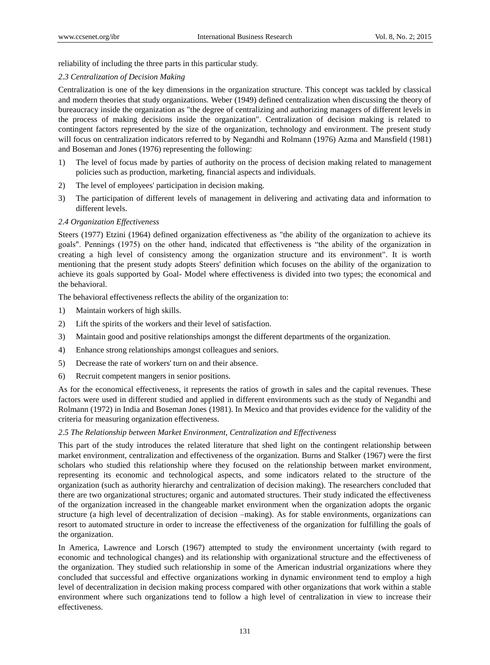reliability of including the three parts in this particular study.

# *2.3 Centralization of Decision Making*

Centralization is one of the key dimensions in the organization structure. This concept was tackled by classical and modern theories that study organizations. Weber (1949) defined centralization when discussing the theory of bureaucracy inside the organization as "the degree of centralizing and authorizing managers of different levels in the process of making decisions inside the organization". Centralization of decision making is related to contingent factors represented by the size of the organization, technology and environment. The present study will focus on centralization indicators referred to by Negandhi and Rolmann (1976) Azma and Mansfield (1981) and Boseman and Jones (1976) representing the following:

- 1) The level of focus made by parties of authority on the process of decision making related to management policies such as production, marketing, financial aspects and individuals.
- 2) The level of employees' participation in decision making.
- 3) The participation of different levels of management in delivering and activating data and information to different levels.

# *2.4 Organization Effectiveness*

Steers (1977) Etzini (1964) defined organization effectiveness as "the ability of the organization to achieve its goals". Pennings (1975) on the other hand, indicated that effectiveness is "the ability of the organization in creating a high level of consistency among the organization structure and its environment". It is worth mentioning that the present study adopts Steers' definition which focuses on the ability of the organization to achieve its goals supported by Goal- Model where effectiveness is divided into two types; the economical and the behavioral.

The behavioral effectiveness reflects the ability of the organization to:

- 1) Maintain workers of high skills.
- 2) Lift the spirits of the workers and their level of satisfaction.
- 3) Maintain good and positive relationships amongst the different departments of the organization.
- 4) Enhance strong relationships amongst colleagues and seniors.
- 5) Decrease the rate of workers' turn on and their absence.
- 6) Recruit competent mangers in senior positions.

As for the economical effectiveness, it represents the ratios of growth in sales and the capital revenues. These factors were used in different studied and applied in different environments such as the study of Negandhi and Rolmann (1972) in India and Boseman Jones (1981). In Mexico and that provides evidence for the validity of the criteria for measuring organization effectiveness.

## *2.5 The Relationship between Market Environment, Centralization and Effectiveness*

This part of the study introduces the related literature that shed light on the contingent relationship between market environment, centralization and effectiveness of the organization. Burns and Stalker (1967) were the first scholars who studied this relationship where they focused on the relationship between market environment, representing its economic and technological aspects, and some indicators related to the structure of the organization (such as authority hierarchy and centralization of decision making). The researchers concluded that there are two organizational structures; organic and automated structures. Their study indicated the effectiveness of the organization increased in the changeable market environment when the organization adopts the organic structure (a high level of decentralization of decision –making). As for stable environments, organizations can resort to automated structure in order to increase the effectiveness of the organization for fulfilling the goals of the organization.

In America, Lawrence and Lorsch (1967) attempted to study the environment uncertainty (with regard to economic and technological changes) and its relationship with organizational structure and the effectiveness of the organization. They studied such relationship in some of the American industrial organizations where they concluded that successful and effective organizations working in dynamic environment tend to employ a high level of decentralization in decision making process compared with other organizations that work within a stable environment where such organizations tend to follow a high level of centralization in view to increase their effectiveness.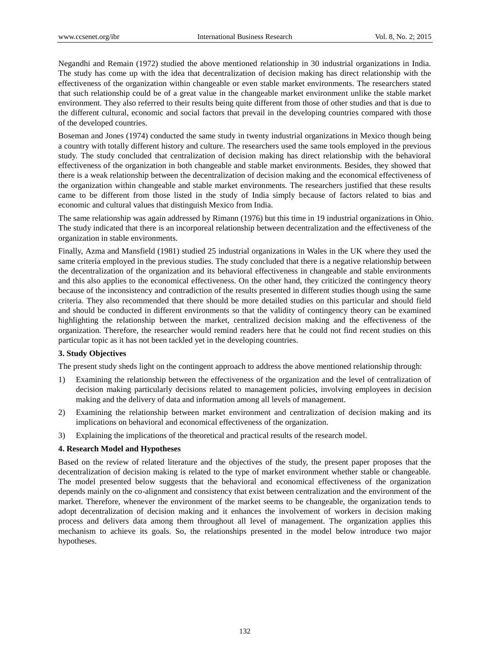Negandhi and Remain (1972) studied the above mentioned relationship in 30 industrial organizations in India. The study has come up with the idea that decentralization of decision making has direct relationship with the effectiveness of the organization within changeable or even stable market environments. The researchers stated that such relationship could be of a great value in the changeable market environment unlike the stable market environment. They also referred to their results being quite different from those of other studies and that is due to the different cultural, economic and social factors that prevail in the developing countries compared with those of the developed countries.

Boseman and Jones (1974) conducted the same study in twenty industrial organizations in Mexico though being a country with totally different history and culture. The researchers used the same tools employed in the previous study. The study concluded that centralization of decision making has direct relationship with the behavioral effectiveness of the organization in both changeable and stable market environments. Besides, they showed that there is a weak relationship between the decentralization of decision making and the economical effectiveness of the organization within changeable and stable market environments. The researchers justified that these results came to be different from those listed in the study of India simply because of factors related to bias and economic and cultural values that distinguish Mexico from India.

The same relationship was again addressed by Rimann (1976) but this time in 19 industrial organizations in Ohio. The study indicated that there is an incorporeal relationship between decentralization and the effectiveness of the organization in stable environments.

Finally, Azma and Mansfield (1981) studied 25 industrial organizations in Wales in the UK where they used the same criteria employed in the previous studies. The study concluded that there is a negative relationship between the decentralization of the organization and its behavioral effectiveness in changeable and stable environments and this also applies to the economical effectiveness. On the other hand, they criticized the contingency theory because of the inconsistency and contradiction of the results presented in different studies though using the same criteria. They also recommended that there should be more detailed studies on this particular and should field and should be conducted in different environments so that the validity of contingency theory can be examined highlighting the relationship between the market, centralized decision making and the effectiveness of the organization. Therefore, the researcher would remind readers here that he could not find recent studies on this particular topic as it has not been tackled yet in the developing countries.

## **3. Study Objectives**

The present study sheds light on the contingent approach to address the above mentioned relationship through:

- 1) Examining the relationship between the effectiveness of the organization and the level of centralization of decision making particularly decisions related to management policies, involving employees in decision making and the delivery of data and information among all levels of management.
- 2) Examining the relationship between market environment and centralization of decision making and its implications on behavioral and economical effectiveness of the organization.
- 3) Explaining the implications of the theoretical and practical results of the research model.

# **4. Research Model and Hypotheses**

Based on the review of related literature and the objectives of the study, the present paper proposes that the decentralization of decision making is related to the type of market environment whether stable or changeable. The model presented below suggests that the behavioral and economical effectiveness of the organization depends mainly on the co-alignment and consistency that exist between centralization and the environment of the market. Therefore, whenever the environment of the market seems to be changeable, the organization tends to adopt decentralization of decision making and it enhances the involvement of workers in decision making process and delivers data among them throughout all level of management. The organization applies this mechanism to achieve its goals. So, the relationships presented in the model below introduce two major hypotheses.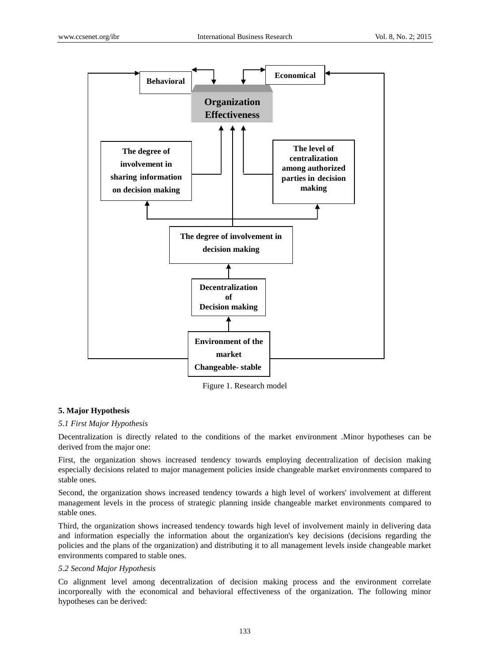

Figure 1. Research model

# **5. Major Hypothesis**

## *5.1 First Major Hypothesis*

Decentralization is directly related to the conditions of the market environment .Minor hypotheses can be derived from the major one:

First, the organization shows increased tendency towards employing decentralization of decision making especially decisions related to major management policies inside changeable market environments compared to stable ones.

Second, the organization shows increased tendency towards a high level of workers' involvement at different management levels in the process of strategic planning inside changeable market environments compared to stable ones.

Third, the organization shows increased tendency towards high level of involvement mainly in delivering data and information especially the information about the organization's key decisions (decisions regarding the policies and the plans of the organization) and distributing it to all management levels inside changeable market environments compared to stable ones.

# *5.2 Second Major Hypothesis*

Co alignment level among decentralization of decision making process and the environment correlate incorporeally with the economical and behavioral effectiveness of the organization. The following minor hypotheses can be derived: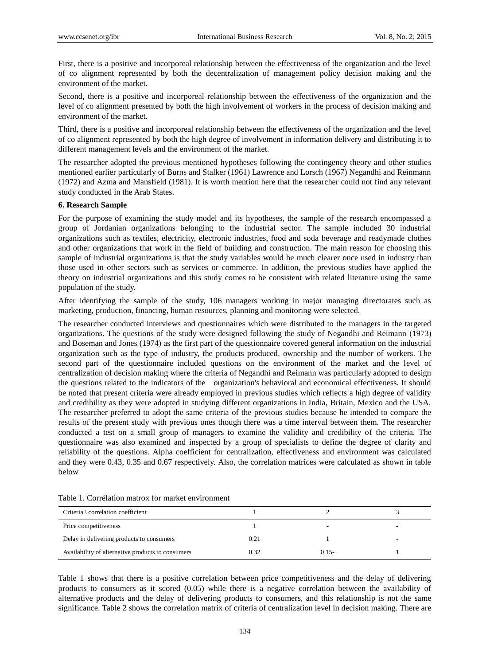First, there is a positive and incorporeal relationship between the effectiveness of the organization and the level of co alignment represented by both the decentralization of management policy decision making and the environment of the market.

Second, there is a positive and incorporeal relationship between the effectiveness of the organization and the level of co alignment presented by both the high involvement of workers in the process of decision making and environment of the market.

Third, there is a positive and incorporeal relationship between the effectiveness of the organization and the level of co alignment represented by both the high degree of involvement in information delivery and distributing it to different management levels and the environment of the market.

The researcher adopted the previous mentioned hypotheses following the contingency theory and other studies mentioned earlier particularly of Burns and Stalker (1961) Lawrence and Lorsch (1967) Negandhi and Reinmann (1972) and Azma and Mansfield (1981). It is worth mention here that the researcher could not find any relevant study conducted in the Arab States.

### **6. Research Sample**

For the purpose of examining the study model and its hypotheses, the sample of the research encompassed a group of Jordanian organizations belonging to the industrial sector. The sample included 30 industrial organizations such as textiles, electricity, electronic industries, food and soda beverage and readymade clothes and other organizations that work in the field of building and construction. The main reason for choosing this sample of industrial organizations is that the study variables would be much clearer once used in industry than those used in other sectors such as services or commerce. In addition, the previous studies have applied the theory on industrial organizations and this study comes to be consistent with related literature using the same population of the study.

After identifying the sample of the study, 106 managers working in major managing directorates such as marketing, production, financing, human resources, planning and monitoring were selected.

The researcher conducted interviews and questionnaires which were distributed to the managers in the targeted organizations. The questions of the study were designed following the study of Negandhi and Reimann (1973) and Boseman and Jones (1974) as the first part of the questionnaire covered general information on the industrial organization such as the type of industry, the products produced, ownership and the number of workers. The second part of the questionnaire included questions on the environment of the market and the level of centralization of decision making where the criteria of Negandhi and Reimann was particularly adopted to design the questions related to the indicators of the organization's behavioral and economical effectiveness. It should be noted that present criteria were already employed in previous studies which reflects a high degree of validity and credibility as they were adopted in studying different organizations in India, Britain, Mexico and the USA. The researcher preferred to adopt the same criteria of the previous studies because he intended to compare the results of the present study with previous ones though there was a time interval between them. The researcher conducted a test on a small group of managers to examine the validity and credibility of the criteria. The questionnaire was also examined and inspected by a group of specialists to define the degree of clarity and reliability of the questions. Alpha coefficient for centralization, effectiveness and environment was calculated and they were 0.43, 0.35 and 0.67 respectively. Also, the correlation matrices were calculated as shown in table below

| Criteria \ correlation coefficient                |      |          |  |
|---------------------------------------------------|------|----------|--|
| Price competitiveness                             |      |          |  |
| Delay in delivering products to consumers         | 0.21 |          |  |
| Availability of alternative products to consumers | 0.32 | $0.15 -$ |  |

Table 1. Correlation matrox for market environment

Table 1 shows that there is a positive correlation between price competitiveness and the delay of delivering products to consumers as it scored (0.05) while there is a negative correlation between the availability of alternative products and the delay of delivering products to consumers, and this relationship is not the same significance. Table 2 shows the correlation matrix of criteria of centralization level in decision making. There are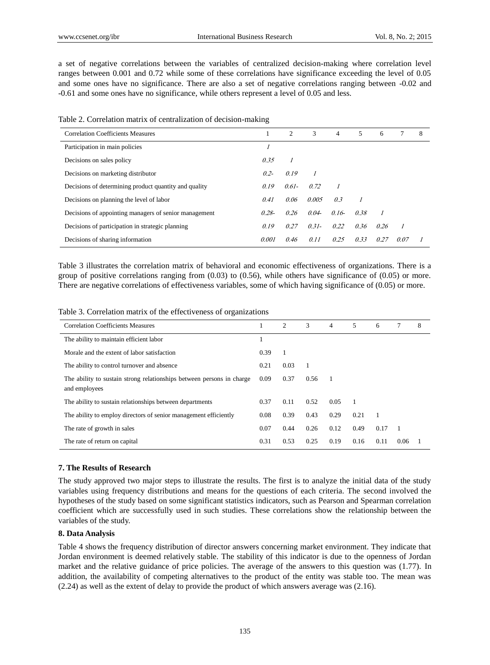a set of negative correlations between the variables of centralized decision-making where correlation level ranges between 0.001 and 0.72 while some of these correlations have significance exceeding the level of 0.05 and some ones have no significance. There are also a set of negative correlations ranging between -0.02 and -0.61 and some ones have no significance, while others represent a level of 0.05 and less.

Table 2. Correlation matrix of centralization of decision-making

| <b>Correlation Coefficients Measures</b>              |          | $\overline{2}$ | 3        | 4       | 5    | 6    |      | 8 |
|-------------------------------------------------------|----------|----------------|----------|---------|------|------|------|---|
| Participation in main policies                        |          |                |          |         |      |      |      |   |
| Decisions on sales policy                             | 0.35     |                |          |         |      |      |      |   |
| Decisions on marketing distributor                    | $0.2 -$  | 0.19           |          |         |      |      |      |   |
| Decisions of determining product quantity and quality | 0.19     | $0.61 -$       | 0.72     |         |      |      |      |   |
| Decisions on planning the level of labor              | 0.41     | 0.06           | 0.005    | 0.3     |      |      |      |   |
| Decisions of appointing managers of senior management | $0.28 -$ | 0.26           | $0.04 -$ | $0.16-$ | 0.38 |      |      |   |
| Decisions of participation in strategic planning      | 0.19     | 0.27           | $0.31 -$ | 0.22    | 0.36 | 0.26 |      |   |
| Decisions of sharing information                      | 0.001    | 0.46           | 0.11     | 0.25    | 0.33 | 0.27 | 0.07 |   |

Table 3 illustrates the correlation matrix of behavioral and economic effectiveness of organizations. There is a group of positive correlations ranging from (0.03) to (0.56), while others have significance of (0.05) or more. There are negative correlations of effectiveness variables, some of which having significance of (0.05) or more.

Table 3. Correlation matrix of the effectiveness of organizations

| <b>Correlation Coefficients Measures</b>                                               |      | 2    | 3    | 4              | 5              | 6    | 7    | 8 |
|----------------------------------------------------------------------------------------|------|------|------|----------------|----------------|------|------|---|
| The ability to maintain efficient labor                                                |      |      |      |                |                |      |      |   |
| Morale and the extent of labor satisfaction                                            | 0.39 | 1    |      |                |                |      |      |   |
| The ability to control turnover and absence                                            | 0.21 | 0.03 |      |                |                |      |      |   |
| The ability to sustain strong relationships between persons in charge<br>and employees | 0.09 | 0.37 | 0.56 | $\overline{1}$ |                |      |      |   |
| The ability to sustain relationships between departments                               | 0.37 | 0.11 | 0.52 | 0.05           | $\overline{1}$ |      |      |   |
| The ability to employ directors of senior management efficiently                       | 0.08 | 0.39 | 0.43 | 0.29           | 0.21           | -1   |      |   |
| The rate of growth in sales                                                            | 0.07 | 0.44 | 0.26 | 0.12           | 0.49           | 0.17 |      |   |
| The rate of return on capital                                                          | 0.31 | 0.53 | 0.25 | 0.19           | 0.16           | 0.11 | 0.06 |   |

## **7. The Results of Research**

The study approved two major steps to illustrate the results. The first is to analyze the initial data of the study variables using frequency distributions and means for the questions of each criteria. The second involved the hypotheses of the study based on some significant statistics indicators, such as Pearson and Spearman correlation coefficient which are successfully used in such studies. These correlations show the relationship between the variables of the study.

## **8. Data Analysis**

Table 4 shows the frequency distribution of director answers concerning market environment. They indicate that Jordan environment is deemed relatively stable. The stability of this indicator is due to the openness of Jordan market and the relative guidance of price policies. The average of the answers to this question was (1.77). In addition, the availability of competing alternatives to the product of the entity was stable too. The mean was (2.24) as well as the extent of delay to provide the product of which answers average was (2.16).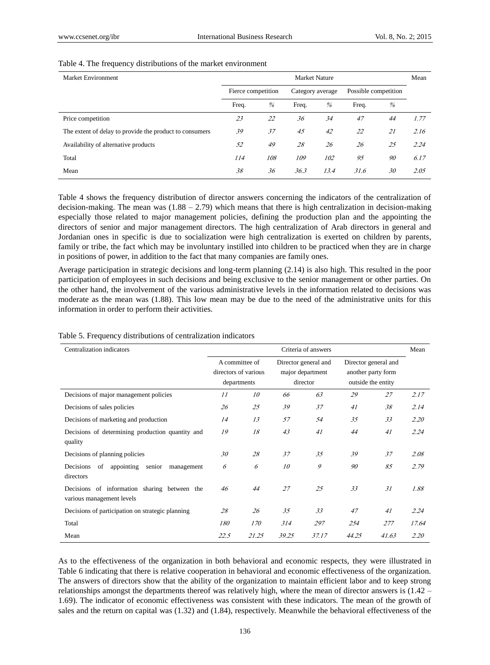| Market Environment                                      | Market Nature      |     |                  |      |                      |    |      |
|---------------------------------------------------------|--------------------|-----|------------------|------|----------------------|----|------|
|                                                         | Fierce competition |     | Category average |      | Possible competition |    |      |
|                                                         | Freq.              | %   | Freq.            | $\%$ | Freq.                | %  |      |
| Price competition                                       | 23                 | 22  | 36               | 34   | 47                   | 44 | 1.77 |
| The extent of delay to provide the product to consumers | 39                 | 37  | 45               | 42   | 22                   | 21 | 2.16 |
| Availability of alternative products                    | 52                 | 49  | 28               | 26   | 26                   | 25 | 2.24 |
| Total                                                   | 114                | 108 | 109              | 102  | 95                   | 90 | 6.17 |
| Mean                                                    | 38                 | 36  | 36.3             | 13.4 | 31.6                 | 30 | 2.05 |

#### Table 4. The frequency distributions of the market environment

Table 4 shows the frequency distribution of director answers concerning the indicators of the centralization of decision-making. The mean was  $(1.88 - 2.79)$  which means that there is high centralization in decision-making especially those related to major management policies, defining the production plan and the appointing the directors of senior and major management directors. The high centralization of Arab directors in general and Jordanian ones in specific is due to socialization were high centralization is exerted on children by parents, family or tribe, the fact which may be involuntary instilled into children to be practiced when they are in charge in positions of power, in addition to the fact that many companies are family ones.

Average participation in strategic decisions and long-term planning (2.14) is also high. This resulted in the poor participation of employees in such decisions and being exclusive to the senior management or other parties. On the other hand, the involvement of the various administrative levels in the information related to decisions was moderate as the mean was (1.88). This low mean may be due to the need of the administrative units for this information in order to perform their activities.

| Centralization indicators                                                    |                                                       |       | Mean  |                                                      |                                                                  |       |       |
|------------------------------------------------------------------------------|-------------------------------------------------------|-------|-------|------------------------------------------------------|------------------------------------------------------------------|-------|-------|
|                                                                              | A committee of<br>directors of various<br>departments |       |       | Director general and<br>major department<br>director | Director general and<br>another party form<br>outside the entity |       |       |
| Decisions of major management policies                                       | 11                                                    | 10    | 66    | 63                                                   | 29                                                               | 27    | 2.17  |
| Decisions of sales policies                                                  | 26                                                    | 25    | 39    | 37                                                   | 41                                                               | 38    | 2.14  |
| Decisions of marketing and production                                        | 14                                                    | 13    | 57    | .54                                                  | 35                                                               | 33    | 2.20  |
| Decisions of determining production quantity and<br>quality                  | 19                                                    | 18    | 43    | 41                                                   | 44                                                               | 41    | 2.24  |
| Decisions of planning policies                                               | 30                                                    | 28    | 37    | 35                                                   | 39                                                               | 37    | 2.08  |
| Decisions<br>appointing<br>of<br>senior<br>management<br>directors           | 6                                                     | 6     | 10    | 9                                                    | 90                                                               | 85    | 2.79  |
| Decisions of information<br>sharing between the<br>various management levels | 46                                                    | 44    | 27    | 25                                                   | 33                                                               | 31    | 1.88  |
| Decisions of participation on strategic planning                             | 28                                                    | 26    | 35    | 33                                                   | 47                                                               | 41    | 2.24  |
| Total                                                                        | 180                                                   | 170   | 314   | 297                                                  | 254                                                              | 277   | 17.64 |
| Mean                                                                         | 22.5                                                  | 21.25 | 39.25 | 37.17                                                | 44.25                                                            | 41.63 | 2.20  |

Table 5. Frequency distributions of centralization indicators

As to the effectiveness of the organization in both behavioral and economic respects, they were illustrated in Table 6 indicating that there is relative cooperation in behavioral and economic effectiveness of the organization. The answers of directors show that the ability of the organization to maintain efficient labor and to keep strong relationships amongst the departments thereof was relatively high, where the mean of director answers is (1.42 – 1.69). The indicator of economic effectiveness was consistent with these indicators. The mean of the growth of sales and the return on capital was (1.32) and (1.84), respectively. Meanwhile the behavioral effectiveness of the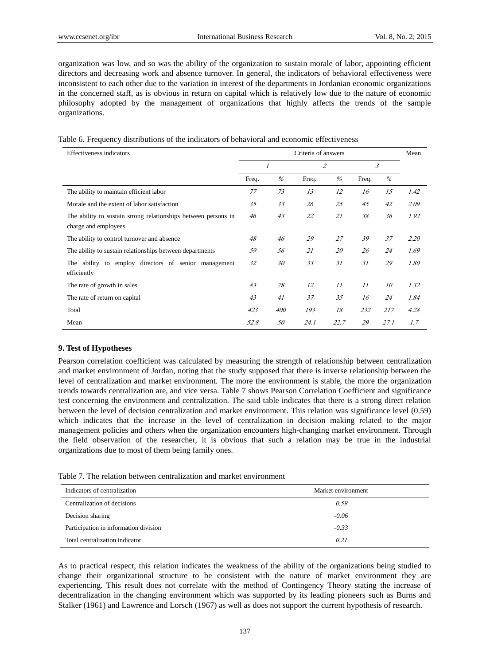organization was low, and so was the ability of the organization to sustain morale of labor, appointing efficient directors and decreasing work and absence turnover. In general, the indicators of behavioral effectiveness were inconsistent to each other due to the variation in interest of the departments in Jordanian economic organizations in the concerned staff, as is obvious in return on capital which is relatively low due to the nature of economic philosophy adopted by the management of organizations that highly affects the trends of the sample organizations.

|  |  |  | Table 6. Frequency distributions of the indicators of behavioral and economic effectiveness |
|--|--|--|---------------------------------------------------------------------------------------------|
|  |  |  |                                                                                             |

| Effectiveness indicators                                                               |                |      | Mean  |                          |       |      |      |
|----------------------------------------------------------------------------------------|----------------|------|-------|--------------------------|-------|------|------|
|                                                                                        | $\overline{I}$ |      |       | $\overline{\mathcal{L}}$ | 3     |      |      |
|                                                                                        | Freq.          | $\%$ | Freq. | $\%$                     | Freq. | $\%$ |      |
| The ability to maintain efficient labor                                                | 77             | 73   | 13    | 12                       | 16    | 15   | 1.42 |
| Morale and the extent of labor satisfaction                                            | 35             | 33   | 26    | 25                       | 45    | 42   | 2.09 |
| The ability to sustain strong relationships between persons in<br>charge and employees | 46             | 43   | 22    | 21                       | 38    | 36   | 1.92 |
| The ability to control turnover and absence                                            | 48             | 46   | 29    | 27                       | 39    | 37   | 2.20 |
| The ability to sustain relationships between departments                               | 59             | 56   | 21    | 20                       | 26    | 24   | 1.69 |
| The ability to employ directors of senior management<br>efficiently                    | 32             | 30   | 33    | 31                       | 31    | 29   | 1.80 |
| The rate of growth in sales                                                            | 83             | 78   | 12    | 11                       | 11    | 10   | 1.32 |
| The rate of return on capital                                                          | 43             | 41   | 37    | 35                       | 16    | 24   | 1.84 |
| Total                                                                                  | 423            | 400  | 193   | 18                       | 232   | 217  | 4.28 |
| Mean                                                                                   | 52.8           | 50   | 24.1  | 22.7                     | 29    | 27.1 | 1.7  |

## **9. Test of Hypotheses**

Pearson correlation coefficient was calculated by measuring the strength of relationship between centralization and market environment of Jordan, noting that the study supposed that there is inverse relationship between the level of centralization and market environment. The more the environment is stable, the more the organization trends towards centralization are, and vice versa. Table 7 shows Pearson Correlation Coefficient and significance test concerning the environment and centralization. The said table indicates that there is a strong direct relation between the level of decision centralization and market environment. This relation was significance level (0.59) which indicates that the increase in the level of centralization in decision making related to the major management policies and others when the organization encounters high-changing market environment. Through the field observation of the researcher, it is obvious that such a relation may be true in the industrial organizations due to most of them being family ones.

Table 7. The relation between centralization and market environment

| Indicators of centralization          | Market environment |
|---------------------------------------|--------------------|
| Centralization of decisions           | 0.59               |
| Decision sharing                      | $-0.06$            |
| Participation in information division | $-0.33$            |
| Total centralization indicator        | 0.21               |

As to practical respect, this relation indicates the weakness of the ability of the organizations being studied to change their organizational structure to be consistent with the nature of market environment they are experiencing. This result does not correlate with the method of Contingency Theory stating the increase of decentralization in the changing environment which was supported by its leading pioneers such as Burns and Stalker (1961) and Lawrence and Lorsch (1967) as well as does not support the current hypothesis of research.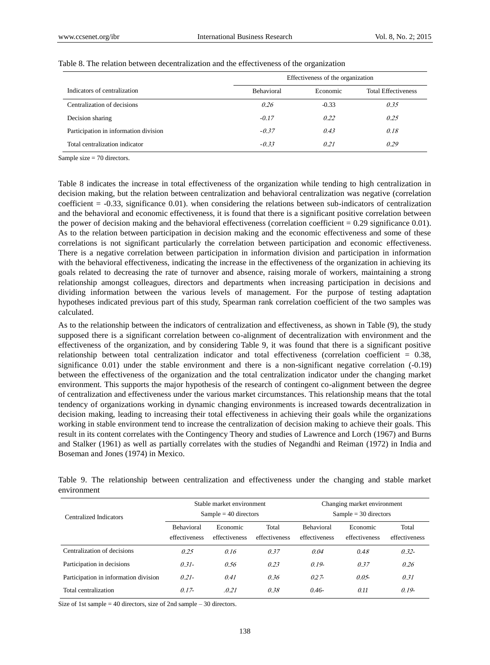|                                       | Effectiveness of the organization |          |                            |  |  |  |  |
|---------------------------------------|-----------------------------------|----------|----------------------------|--|--|--|--|
| Indicators of centralization          | <b>Behavioral</b>                 | Economic | <b>Total Effectiveness</b> |  |  |  |  |
| Centralization of decisions           | 0.26                              | $-0.33$  | 0.35                       |  |  |  |  |
| Decision sharing                      | $-0.17$                           | 0.22     | 0.25                       |  |  |  |  |
| Participation in information division | $-0.37$                           | 0.43     | 0.18                       |  |  |  |  |
| Total centralization indicator        | $-0.33$                           | 0.21     | 0.29                       |  |  |  |  |

#### Table 8. The relation between decentralization and the effectiveness of the organization

Sample size = 70 directors.

Table 8 indicates the increase in total effectiveness of the organization while tending to high centralization in decision making, but the relation between centralization and behavioral centralization was negative (correlation coefficient = -0.33, significance 0.01). when considering the relations between sub-indicators of centralization and the behavioral and economic effectiveness, it is found that there is a significant positive correlation between the power of decision making and the behavioral effectiveness (correlation coefficient  $= 0.29$  significance 0.01). As to the relation between participation in decision making and the economic effectiveness and some of these correlations is not significant particularly the correlation between participation and economic effectiveness. There is a negative correlation between participation in information division and participation in information with the behavioral effectiveness, indicating the increase in the effectiveness of the organization in achieving its goals related to decreasing the rate of turnover and absence, raising morale of workers, maintaining a strong relationship amongst colleagues, directors and departments when increasing participation in decisions and dividing information between the various levels of management. For the purpose of testing adaptation hypotheses indicated previous part of this study, Spearman rank correlation coefficient of the two samples was calculated.

As to the relationship between the indicators of centralization and effectiveness, as shown in Table (9), the study supposed there is a significant correlation between co-alignment of decentralization with environment and the effectiveness of the organization, and by considering Table 9, it was found that there is a significant positive relationship between total centralization indicator and total effectiveness (correlation coefficient = 0.38, significance 0.01) under the stable environment and there is a non-significant negative correlation (-0.19) between the effectiveness of the organization and the total centralization indicator under the changing market environment. This supports the major hypothesis of the research of contingent co-alignment between the degree of centralization and effectiveness under the various market circumstances. This relationship means that the total tendency of organizations working in dynamic changing environments is increased towards decentralization in decision making, leading to increasing their total effectiveness in achieving their goals while the organizations working in stable environment tend to increase the centralization of decision making to achieve their goals. This result in its content correlates with the Contingency Theory and studies of Lawrence and Lorch (1967) and Burns and Stalker (1961) as well as partially correlates with the studies of Negandhi and Reiman (1972) in India and Boseman and Jones (1974) in Mexico.

|             |  |  | Table 9. The relationship between centralization and effectiveness under the changing and stable market |  |  |  |  |
|-------------|--|--|---------------------------------------------------------------------------------------------------------|--|--|--|--|
| environment |  |  |                                                                                                         |  |  |  |  |

| Centralized Indicators                |                                    | Stable market environment<br>$Sample = 40$ directors |                        | Changing market environment<br>$Sample = 30$ directors |                           |                        |  |
|---------------------------------------|------------------------------------|------------------------------------------------------|------------------------|--------------------------------------------------------|---------------------------|------------------------|--|
|                                       | <b>Behavioral</b><br>effectiveness | Economic<br>effectiveness                            | Total<br>effectiveness | <b>Behavioral</b><br>effectiveness                     | Economic<br>effectiveness | Total<br>effectiveness |  |
| Centralization of decisions           | 0.25                               | 0.16                                                 | 0.37                   | 0.04                                                   | 0.48                      | $0.32 -$               |  |
| Participation in decisions            | $0.31 -$                           | 0.56                                                 | 0.23                   | $0.19-$                                                | 0.37                      | 0.26                   |  |
| Participation in information division | $0.21 -$                           | 0.41                                                 | 0.36                   | $0.27 -$                                               | $0.05 -$                  | 0.31                   |  |
| Total centralization                  | $0.17-$                            | .0.21                                                | 0.38                   | $0.46-$                                                | 0.11                      | $0.19-$                |  |

Size of 1st sample = 40 directors, size of 2nd sample – 30 directors.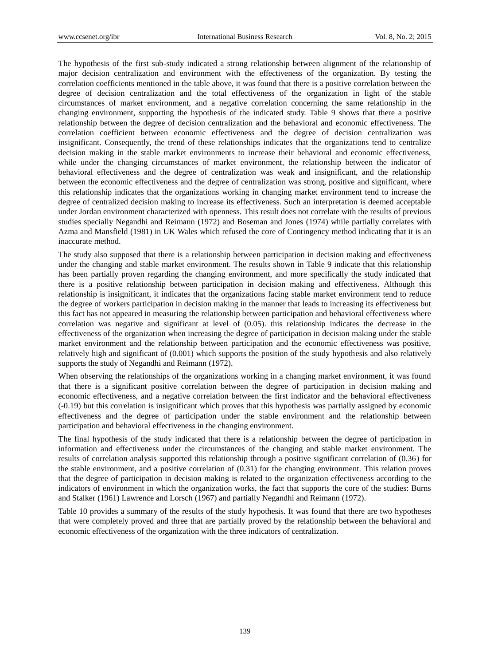The hypothesis of the first sub-study indicated a strong relationship between alignment of the relationship of major decision centralization and environment with the effectiveness of the organization. By testing the correlation coefficients mentioned in the table above, it was found that there is a positive correlation between the degree of decision centralization and the total effectiveness of the organization in light of the stable circumstances of market environment, and a negative correlation concerning the same relationship in the changing environment, supporting the hypothesis of the indicated study. Table 9 shows that there a positive relationship between the degree of decision centralization and the behavioral and economic effectiveness. The correlation coefficient between economic effectiveness and the degree of decision centralization was insignificant. Consequently, the trend of these relationships indicates that the organizations tend to centralize decision making in the stable market environments to increase their behavioral and economic effectiveness, while under the changing circumstances of market environment, the relationship between the indicator of behavioral effectiveness and the degree of centralization was weak and insignificant, and the relationship between the economic effectiveness and the degree of centralization was strong, positive and significant, where this relationship indicates that the organizations working in changing market environment tend to increase the degree of centralized decision making to increase its effectiveness. Such an interpretation is deemed acceptable under Jordan environment characterized with openness. This result does not correlate with the results of previous studies specially Negandhi and Reimann (1972) and Boseman and Jones (1974) while partially correlates with Azma and Mansfield (1981) in UK Wales which refused the core of Contingency method indicating that it is an inaccurate method.

The study also supposed that there is a relationship between participation in decision making and effectiveness under the changing and stable market environment. The results shown in Table 9 indicate that this relationship has been partially proven regarding the changing environment, and more specifically the study indicated that there is a positive relationship between participation in decision making and effectiveness. Although this relationship is insignificant, it indicates that the organizations facing stable market environment tend to reduce the degree of workers participation in decision making in the manner that leads to increasing its effectiveness but this fact has not appeared in measuring the relationship between participation and behavioral effectiveness where correlation was negative and significant at level of (0.05). this relationship indicates the decrease in the effectiveness of the organization when increasing the degree of participation in decision making under the stable market environment and the relationship between participation and the economic effectiveness was positive, relatively high and significant of (0.001) which supports the position of the study hypothesis and also relatively supports the study of Negandhi and Reimann (1972).

When observing the relationships of the organizations working in a changing market environment, it was found that there is a significant positive correlation between the degree of participation in decision making and economic effectiveness, and a negative correlation between the first indicator and the behavioral effectiveness (-0.19) but this correlation is insignificant which proves that this hypothesis was partially assigned by economic effectiveness and the degree of participation under the stable environment and the relationship between participation and behavioral effectiveness in the changing environment.

The final hypothesis of the study indicated that there is a relationship between the degree of participation in information and effectiveness under the circumstances of the changing and stable market environment. The results of correlation analysis supported this relationship through a positive significant correlation of (0.36) for the stable environment, and a positive correlation of (0.31) for the changing environment. This relation proves that the degree of participation in decision making is related to the organization effectiveness according to the indicators of environment in which the organization works, the fact that supports the core of the studies: Burns and Stalker (1961) Lawrence and Lorsch (1967) and partially Negandhi and Reimann (1972).

Table 10 provides a summary of the results of the study hypothesis. It was found that there are two hypotheses that were completely proved and three that are partially proved by the relationship between the behavioral and economic effectiveness of the organization with the three indicators of centralization.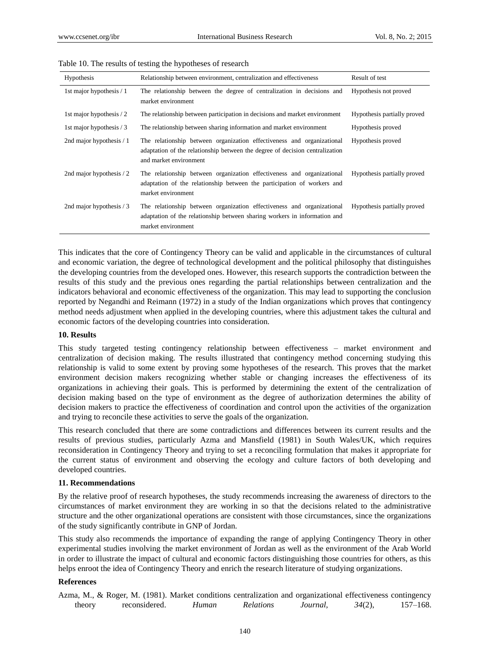| Hypothesis               | Relationship between environment, centralization and effectiveness                                                                                                               | Result of test              |
|--------------------------|----------------------------------------------------------------------------------------------------------------------------------------------------------------------------------|-----------------------------|
| 1st major hypothesis / 1 | The relationship between the degree of centralization in decisions and<br>market environment                                                                                     | Hypothesis not proved       |
| 1st major hypothesis / 2 | The relationship between participation in decisions and market environment                                                                                                       | Hypothesis partially proved |
| 1st major hypothesis / 3 | The relationship between sharing information and market environment                                                                                                              | Hypothesis proved           |
| 2nd major hypothesis / 1 | The relationship between organization effectiveness and organizational<br>adaptation of the relationship between the degree of decision centralization<br>and market environment | Hypothesis proved           |
| 2nd major hypothesis / 2 | The relationship between organization effectiveness and organizational<br>adaptation of the relationship between the participation of workers and<br>market environment          | Hypothesis partially proved |
| 2nd major hypothesis / 3 | The relationship between organization effectiveness and organizational<br>adaptation of the relationship between sharing workers in information and<br>market environment        | Hypothesis partially proved |

Table 10. The results of testing the hypotheses of research

This indicates that the core of Contingency Theory can be valid and applicable in the circumstances of cultural and economic variation, the degree of technological development and the political philosophy that distinguishes the developing countries from the developed ones. However, this research supports the contradiction between the results of this study and the previous ones regarding the partial relationships between centralization and the indicators behavioral and economic effectiveness of the organization. This may lead to supporting the conclusion reported by Negandhi and Reimann (1972) in a study of the Indian organizations which proves that contingency method needs adjustment when applied in the developing countries, where this adjustment takes the cultural and economic factors of the developing countries into consideration.

## **10. Results**

This study targeted testing contingency relationship between effectiveness – market environment and centralization of decision making. The results illustrated that contingency method concerning studying this relationship is valid to some extent by proving some hypotheses of the research. This proves that the market environment decision makers recognizing whether stable or changing increases the effectiveness of its organizations in achieving their goals. This is performed by determining the extent of the centralization of decision making based on the type of environment as the degree of authorization determines the ability of decision makers to practice the effectiveness of coordination and control upon the activities of the organization and trying to reconcile these activities to serve the goals of the organization.

This research concluded that there are some contradictions and differences between its current results and the results of previous studies, particularly Azma and Mansfield (1981) in South Wales/UK, which requires reconsideration in Contingency Theory and trying to set a reconciling formulation that makes it appropriate for the current status of environment and observing the ecology and culture factors of both developing and developed countries.

### **11. Recommendations**

By the relative proof of research hypotheses, the study recommends increasing the awareness of directors to the circumstances of market environment they are working in so that the decisions related to the administrative structure and the other organizational operations are consistent with those circumstances, since the organizations of the study significantly contribute in GNP of Jordan.

This study also recommends the importance of expanding the range of applying Contingency Theory in other experimental studies involving the market environment of Jordan as well as the environment of the Arab World in order to illustrate the impact of cultural and economic factors distinguishing those countries for others, as this helps enroot the idea of Contingency Theory and enrich the research literature of studying organizations.

# **References**

|        | Azma, M., & Roger, M. (1981). Market conditions centralization and organizational effectiveness contingency |       |                  |          |           |              |
|--------|-------------------------------------------------------------------------------------------------------------|-------|------------------|----------|-----------|--------------|
| theory | reconsidered.                                                                                               | Human | <b>Relations</b> | Journal. | $34(2)$ , | $157 - 168.$ |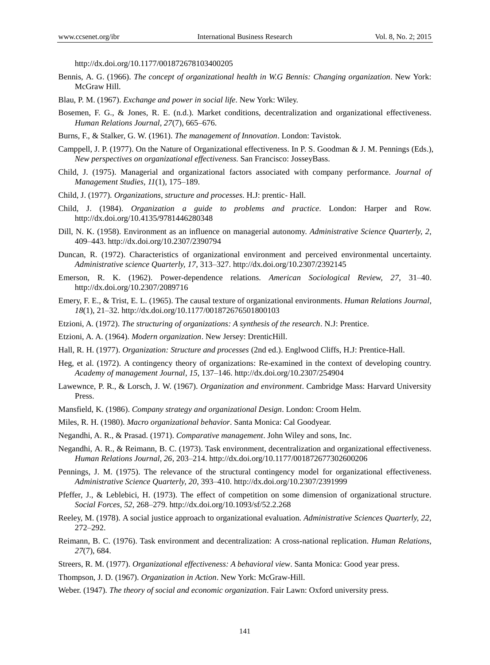http://dx.doi.org/10.1177/001872678103400205

- Bennis, A. G. (1966). *The concept of organizational health in W.G Bennis: Changing organization*. New York: McGraw Hill.
- Blau, P. M. (1967). *Exchange and power in social life*. New York: Wiley.
- Bosemen, F. G., & Jones, R. E. (n.d.). Market conditions, decentralization and organizational effectiveness. *Human Relations Journal, 27*(7), 665–676.
- Burns, F., & Stalker, G. W. (1961). *The management of Innovation*. London: Tavistok.
- Camppell, J. P. (1977). On the Nature of Organizational effectiveness. In P. S. Goodman & J. M. Pennings (Eds.), *New perspectives on organizational effectiveness*. San Francisco: JosseyBass.
- Child, J. (1975). Managerial and organizational factors associated with company performance. *Journal of Management Studies, 11*(1), 175–189.
- Child, J. (1977). *Organizations, structure and processes*. H.J: prentic- Hall.
- Child, J. (1984). *Organization a guide to problems and practice*. London: Harper and Row. http://dx.doi.org/10.4135/9781446280348
- Dill, N. K. (1958). Environment as an influence on managerial autonomy. *Administrative Science Quarterly, 2*, 409–443. http://dx.doi.org/10.2307/2390794
- Duncan, R. (1972). Characteristics of organizational environment and perceived environmental uncertainty. *Administrative science Quarterly, 17,* 313–327. http://dx.doi.org/10.2307/2392145
- Emerson, R. K. (1962). Power-dependence relations. *American Sociological Review, 27*, 31–40. http://dx.doi.org/10.2307/2089716
- Emery, F. E., & Trist, E. L. (1965). The causal texture of organizational environments. *Human Relations Journal, 18*(1), 21–32. http://dx.doi.org/10.1177/001872676501800103
- Etzioni, A. (1972). *The structuring of organizations: A synthesis of the research*. N.J: Prentice.
- Etzioni, A. A. (1964). *Modern organization*. New Jersey: DrenticHill.
- Hall, R. H. (1977). *Organization: Structure and processes* (2nd ed.). Englwood Cliffs, H.J: Prentice-Hall.
- Heg, et al. (1972). A contingency theory of organizations: Re-examined in the context of developing country. *Academy of management Journal, 15*, 137–146. http://dx.doi.org/10.2307/254904
- Lawewnce, P. R., & Lorsch, J. W. (1967). *Organization and environment*. Cambridge Mass: Harvard University Press.
- Mansfield, K. (1986). *Company strategy and organizational Design*. London: Croom Helm.
- Miles, R. H. (1980). *Macro organizational behavior*. Santa Monica: Cal Goodyear.
- Negandhi, A. R., & Prasad. (1971). *Comparative management*. John Wiley and sons, Inc.
- Negandhi, A. R., & Reimann, B. C. (1973). Task environment, decentralization and organizational effectiveness. *Human Relations Journal, 26*, 203–214. http://dx.doi.org/10.1177/001872677302600206
- Pennings, J. M. (1975). The relevance of the structural contingency model for organizational effectiveness. *Administrative Science Quarterly, 20*, 393–410. http://dx.doi.org/10.2307/2391999
- Pfeffer, J., & Leblebici, H. (1973). The effect of competition on some dimension of organizational structure. *Social Forces, 52*, 268–279. http://dx.doi.org/10.1093/sf/52.2.268
- Reeley, M. (1978). A social justice approach to organizational evaluation. *Administrative Sciences Quarterly, 22*, 272–292.
- Reimann, B. C. (1976). Task environment and decentralization: A cross-national replication. *Human Relations, 27*(7), 684.
- Streers, R. M. (1977). *Organizational effectiveness: A behavioral view*. Santa Monica: Good year press.
- Thompson, J. D. (1967). *Organization in Action*. New York: McGraw-Hill.
- Weber. (1947). *The theory of social and economic organization*. Fair Lawn: Oxford university press.